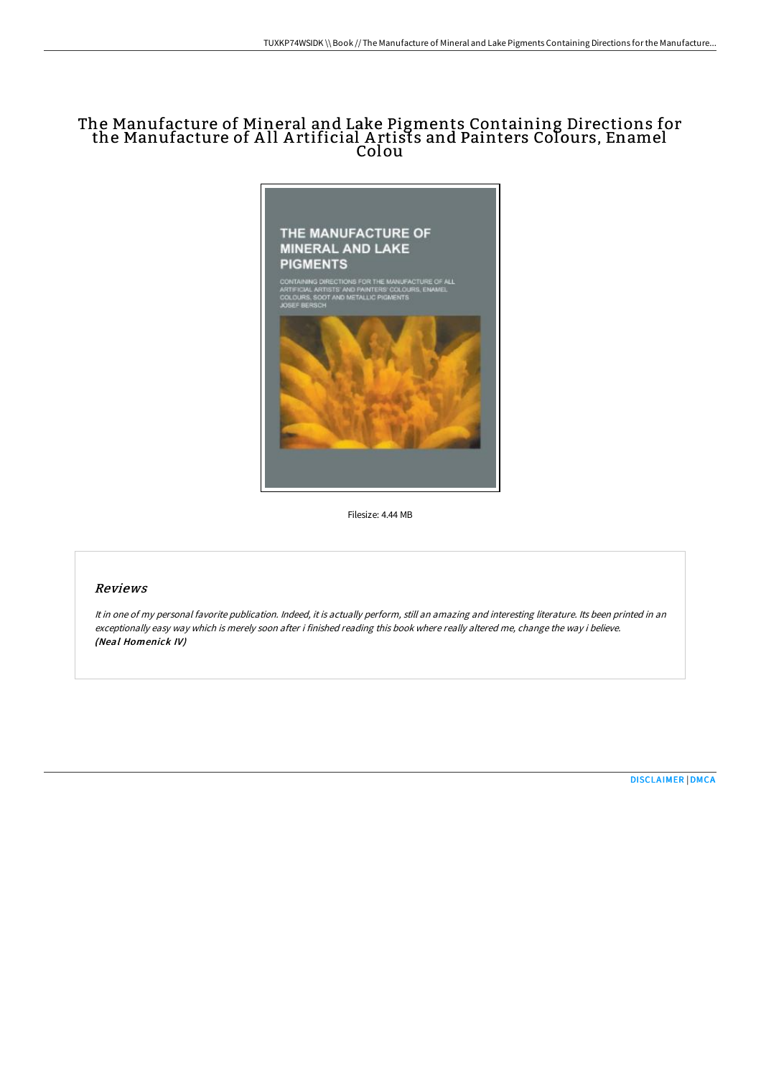## The Manufacture of Mineral and Lake Pigments Containing Directions for the Manufacture of A ll A rtificial A rtists and Painters Colours, Enamel Colou



Filesize: 4.44 MB

## Reviews

It in one of my personal favorite publication. Indeed, it is actually perform, still an amazing and interesting literature. Its been printed in an exceptionally easy way which is merely soon after i finished reading this book where really altered me, change the way i believe. (Neal Homenick IV)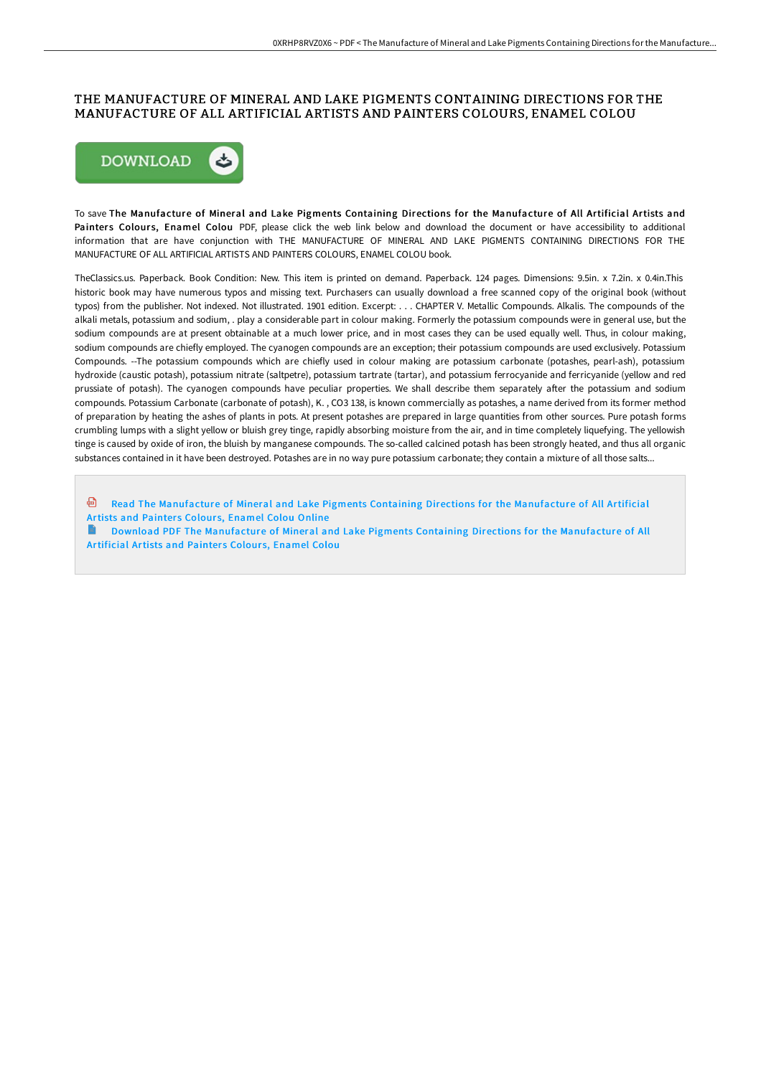## THE MANUFACTURE OF MINERAL AND LAKE PIGMENTS CONTAINING DIRECTIONS FOR THE MANUFACTURE OF ALL ARTIFICIAL ARTISTS AND PAINTERS COLOURS, ENAMEL COLOU



To save The Manufacture of Mineral and Lake Pigments Containing Directions for the Manufacture of All Artificial Artists and Painters Colours, Enamel Colou PDF, please click the web link below and download the document or have accessibility to additional information that are have conjunction with THE MANUFACTURE OF MINERAL AND LAKE PIGMENTS CONTAINING DIRECTIONS FOR THE MANUFACTURE OF ALL ARTIFICIAL ARTISTS AND PAINTERS COLOURS, ENAMEL COLOU book.

TheClassics.us. Paperback. Book Condition: New. This item is printed on demand. Paperback. 124 pages. Dimensions: 9.5in. x 7.2in. x 0.4in.This historic book may have numerous typos and missing text. Purchasers can usually download a free scanned copy of the original book (without typos) from the publisher. Not indexed. Not illustrated. 1901 edition. Excerpt: . . . CHAPTER V. Metallic Compounds. Alkalis. The compounds of the alkali metals, potassium and sodium, . play a considerable part in colour making. Formerly the potassium compounds were in general use, but the sodium compounds are at present obtainable at a much lower price, and in most cases they can be used equally well. Thus, in colour making, sodium compounds are chiefly employed. The cyanogen compounds are an exception; their potassium compounds are used exclusively. Potassium Compounds. --The potassium compounds which are chiefly used in colour making are potassium carbonate (potashes, pearl-ash), potassium hydroxide (caustic potash), potassium nitrate (saltpetre), potassium tartrate (tartar), and potassium ferrocyanide and ferricyanide (yellow and red prussiate of potash). The cyanogen compounds have peculiar properties. We shall describe them separately after the potassium and sodium compounds. Potassium Carbonate (carbonate of potash), K. , CO3 138, is known commercially as potashes, a name derived from its former method of preparation by heating the ashes of plants in pots. At present potashes are prepared in large quantities from other sources. Pure potash forms crumbling lumps with a slight yellow or bluish grey tinge, rapidly absorbing moisture from the air, and in time completely liquefying. The yellowish tinge is caused by oxide of iron, the bluish by manganese compounds. The so-called calcined potash has been strongly heated, and thus all organic substances contained in it have been destroyed. Potashes are in no way pure potassium carbonate; they contain a mixture of all those salts...

**D** Read The [Manufacture](http://albedo.media/the-manufacture-of-mineral-and-lake-pigments-con.html) of Mineral and Lake Pigments Containing Directions for the Manufacture of All Artificial Artists and Painters Colours, Enamel Colou Online

Download PDF The [Manufacture](http://albedo.media/the-manufacture-of-mineral-and-lake-pigments-con.html) of Mineral and Lake Pigments Containing Directions for the Manufacture of All Artificial Artists and Painters Colours, Enamel Colou